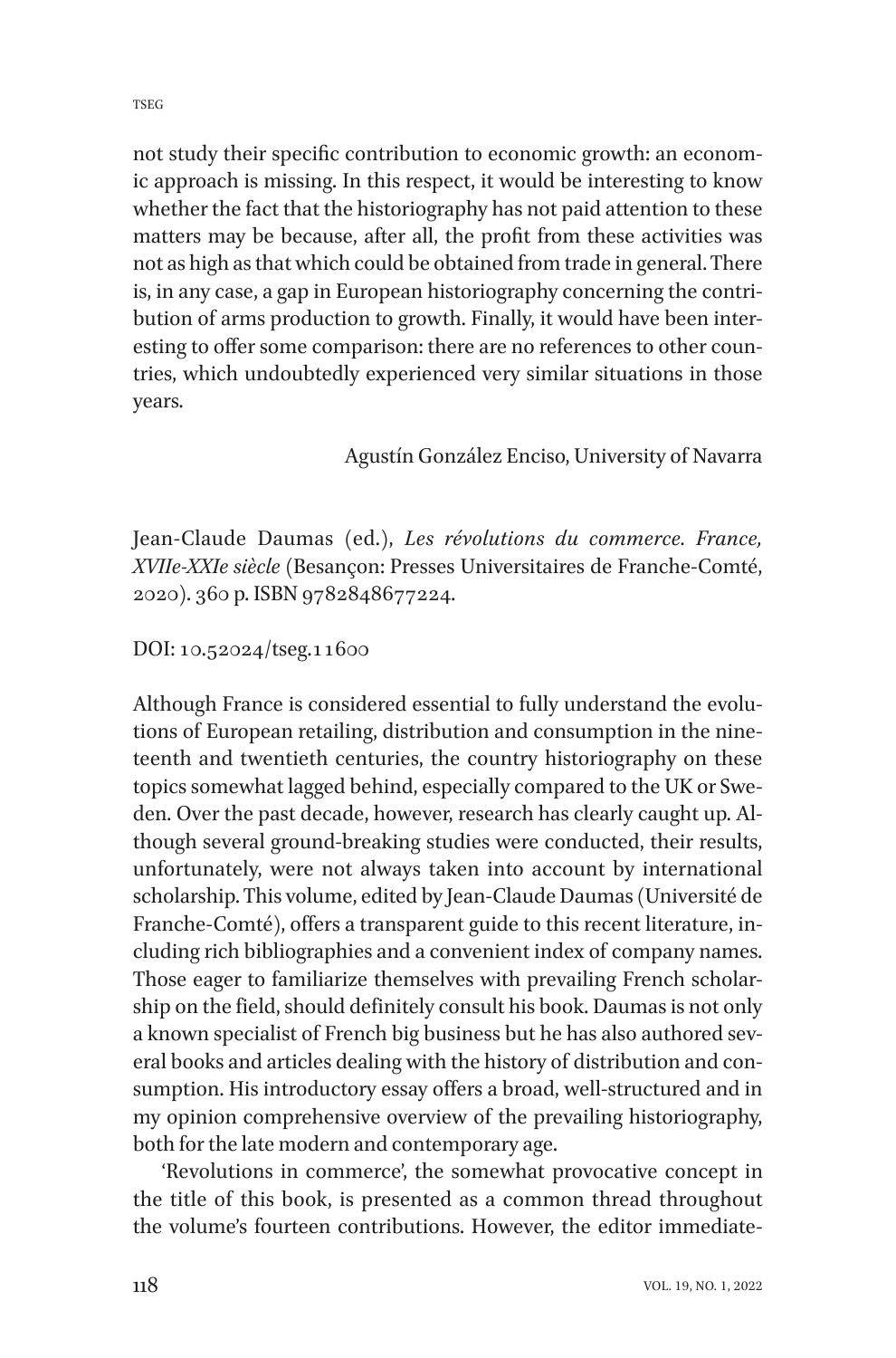TSEG

not study their specific contribution to economic growth: an economic approach is missing. In this respect, it would be interesting to know whether the fact that the historiography has not paid attention to these matters may be because, after all, the profit from these activities was not as high as that which could be obtained from trade in general. There is, in any case, a gap in European historiography concerning the contribution of arms production to growth. Finally, it would have been interesting to offer some comparison: there are no references to other countries, which undoubtedly experienced very similar situations in those years.

## Agustín González Enciso, University of Navarra

Jean-Claude Daumas (ed.), *Les révolutions du commerce. France, XVIIe-XXIe siècle* (Besançon: Presses Universitaires de Franche-Comté, 2020). 360 p. ISBN 9782848677224.

## DOI: 10.52024/tseg.11600

Although France is considered essential to fully understand the evolutions of European retailing, distribution and consumption in the nineteenth and twentieth centuries, the country historiography on these topics somewhat lagged behind, especially compared to the UK or Sweden. Over the past decade, however, research has clearly caught up. Although several ground-breaking studies were conducted, their results, unfortunately, were not always taken into account by international scholarship. This volume, edited by Jean-Claude Daumas (Université de Franche-Comté), offers a transparent guide to this recent literature, including rich bibliographies and a convenient index of company names. Those eager to familiarize themselves with prevailing French scholarship on the field, should definitely consult his book. Daumas is not only a known specialist of French big business but he has also authored several books and articles dealing with the history of distribution and consumption. His introductory essay offers a broad, well-structured and in my opinion comprehensive overview of the prevailing historiography, both for the late modern and contemporary age.

'Revolutions in commerce', the somewhat provocative concept in the title of this book, is presented as a common thread throughout the volume's fourteen contributions. However, the editor immediate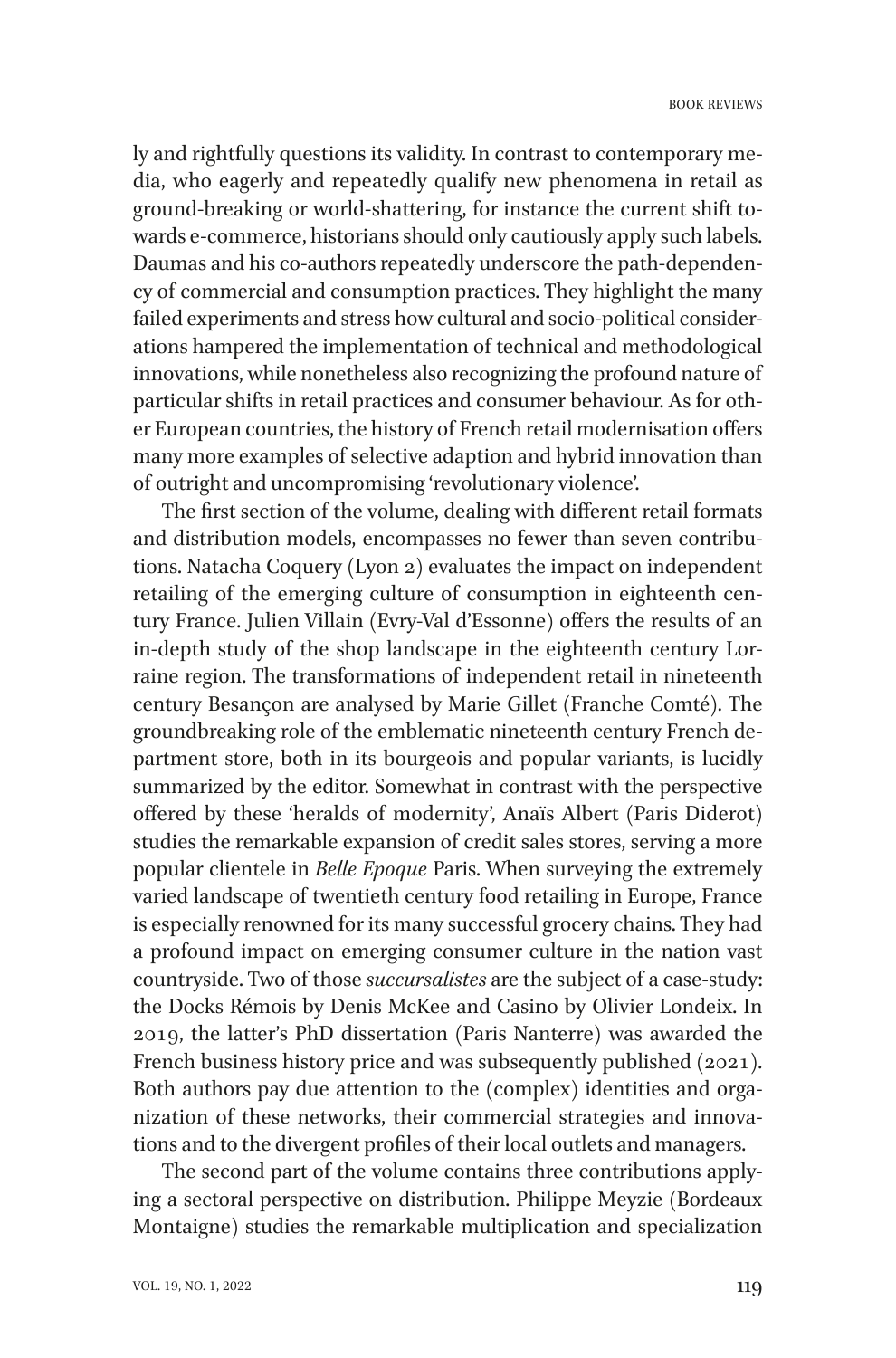ly and rightfully questions its validity. In contrast to contemporary media, who eagerly and repeatedly qualify new phenomena in retail as ground-breaking or world-shattering, for instance the current shift towards e-commerce, historians should only cautiously apply such labels. Daumas and his co-authors repeatedly underscore the path-dependency of commercial and consumption practices. They highlight the many failed experiments and stress how cultural and socio-political considerations hampered the implementation of technical and methodological innovations, while nonetheless also recognizing the profound nature of particular shifts in retail practices and consumer behaviour. As for other European countries, the history of French retail modernisation offers many more examples of selective adaption and hybrid innovation than of outright and uncompromising 'revolutionary violence'.

The first section of the volume, dealing with different retail formats and distribution models, encompasses no fewer than seven contributions. Natacha Coquery (Lyon 2) evaluates the impact on independent retailing of the emerging culture of consumption in eighteenth century France. Julien Villain (Evry-Val d'Essonne) offers the results of an in-depth study of the shop landscape in the eighteenth century Lorraine region. The transformations of independent retail in nineteenth century Besançon are analysed by Marie Gillet (Franche Comté). The groundbreaking role of the emblematic nineteenth century French department store, both in its bourgeois and popular variants, is lucidly summarized by the editor. Somewhat in contrast with the perspective offered by these 'heralds of modernity', Anaïs Albert (Paris Diderot) studies the remarkable expansion of credit sales stores, serving a more popular clientele in *Belle Epoque* Paris. When surveying the extremely varied landscape of twentieth century food retailing in Europe, France is especially renowned for its many successful grocery chains. They had a profound impact on emerging consumer culture in the nation vast countryside. Two of those *succursalistes* are the subject of a case-study: the Docks Rémois by Denis McKee and Casino by Olivier Londeix. In 2019, the latter's PhD dissertation (Paris Nanterre) was awarded the French business history price and was subsequently published (2021). Both authors pay due attention to the (complex) identities and organization of these networks, their commercial strategies and innovations and to the divergent profiles of their local outlets and managers.

The second part of the volume contains three contributions applying a sectoral perspective on distribution. Philippe Meyzie (Bordeaux Montaigne) studies the remarkable multiplication and specialization